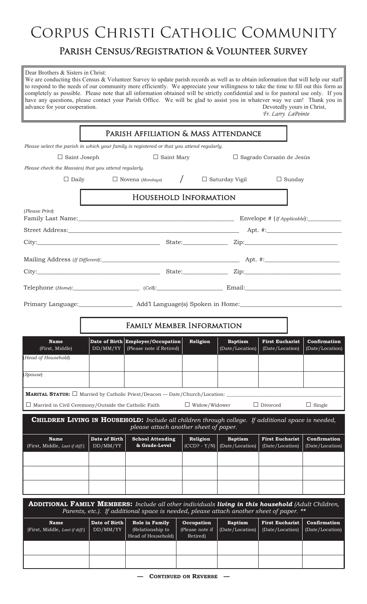## CORPUS CHRISTI CATHOLIC COMMUNITY

## Parish Census/Registration & Volunteer Survey

| Dear Brothers & Sisters in Christ:<br>We are conducting this Census & Volunteer Survey to update parish records as well as to obtain information that will help our staff<br>to respond to the needs of our community more efficiently. We appreciate your willingness to take the time to fill out this form as<br>completely as possible. Please note that all information obtained will be strictly confidential and is for pastoral use only. If you<br>have any questions, please contact your Parish Office. We will be glad to assist you in whatever way we can! Thank you in<br>advance for your cooperation.<br>Devotedly yours in Christ,<br>Fr. Larry LaPointe |                                                                                    |                                                          |                                              |                                   |                                           |                                 |  |  |  |
|----------------------------------------------------------------------------------------------------------------------------------------------------------------------------------------------------------------------------------------------------------------------------------------------------------------------------------------------------------------------------------------------------------------------------------------------------------------------------------------------------------------------------------------------------------------------------------------------------------------------------------------------------------------------------|------------------------------------------------------------------------------------|----------------------------------------------------------|----------------------------------------------|-----------------------------------|-------------------------------------------|---------------------------------|--|--|--|
| PARISH AFFILIATION & MASS ATTENDANCE                                                                                                                                                                                                                                                                                                                                                                                                                                                                                                                                                                                                                                       |                                                                                    |                                                          |                                              |                                   |                                           |                                 |  |  |  |
| Please select the parish in which your family is registered or that you attend regularly.                                                                                                                                                                                                                                                                                                                                                                                                                                                                                                                                                                                  |                                                                                    |                                                          |                                              |                                   |                                           |                                 |  |  |  |
| $\Box$ Saint Mary<br>$\Box$ Saint Joseph<br>$\Box$ Sagrado Corazón de Jesús                                                                                                                                                                                                                                                                                                                                                                                                                                                                                                                                                                                                |                                                                                    |                                                          |                                              |                                   |                                           |                                 |  |  |  |
| Please check the Mass(es) that you attend regularly.                                                                                                                                                                                                                                                                                                                                                                                                                                                                                                                                                                                                                       |                                                                                    |                                                          |                                              |                                   |                                           |                                 |  |  |  |
| $\Box$ Daily                                                                                                                                                                                                                                                                                                                                                                                                                                                                                                                                                                                                                                                               | $\frac{1}{2}$<br>$\Box$ Novena (Mondays)<br>$\Box$ Saturday Vigil<br>$\Box$ Sunday |                                                          |                                              |                                   |                                           |                                 |  |  |  |
| <b>HOUSEHOLD INFORMATION</b>                                                                                                                                                                                                                                                                                                                                                                                                                                                                                                                                                                                                                                               |                                                                                    |                                                          |                                              |                                   |                                           |                                 |  |  |  |
| (Please Print)                                                                                                                                                                                                                                                                                                                                                                                                                                                                                                                                                                                                                                                             |                                                                                    |                                                          |                                              |                                   |                                           |                                 |  |  |  |
|                                                                                                                                                                                                                                                                                                                                                                                                                                                                                                                                                                                                                                                                            |                                                                                    |                                                          |                                              |                                   |                                           |                                 |  |  |  |
|                                                                                                                                                                                                                                                                                                                                                                                                                                                                                                                                                                                                                                                                            |                                                                                    |                                                          |                                              |                                   |                                           |                                 |  |  |  |
|                                                                                                                                                                                                                                                                                                                                                                                                                                                                                                                                                                                                                                                                            |                                                                                    |                                                          |                                              |                                   |                                           |                                 |  |  |  |
|                                                                                                                                                                                                                                                                                                                                                                                                                                                                                                                                                                                                                                                                            |                                                                                    |                                                          |                                              |                                   |                                           |                                 |  |  |  |
|                                                                                                                                                                                                                                                                                                                                                                                                                                                                                                                                                                                                                                                                            |                                                                                    |                                                          |                                              |                                   |                                           |                                 |  |  |  |
|                                                                                                                                                                                                                                                                                                                                                                                                                                                                                                                                                                                                                                                                            |                                                                                    |                                                          |                                              |                                   |                                           |                                 |  |  |  |
|                                                                                                                                                                                                                                                                                                                                                                                                                                                                                                                                                                                                                                                                            |                                                                                    |                                                          |                                              |                                   |                                           |                                 |  |  |  |
| <b>FAMILY MEMBER INFORMATION</b>                                                                                                                                                                                                                                                                                                                                                                                                                                                                                                                                                                                                                                           |                                                                                    |                                                          |                                              |                                   |                                           |                                 |  |  |  |
| <b>Name</b><br>(First, Middle)                                                                                                                                                                                                                                                                                                                                                                                                                                                                                                                                                                                                                                             | Date of Birth<br>DD/MM/YY                                                          | <b>Employer/Occupation</b><br>(Please note if Retired)   | Religion                                     | <b>Baptism</b><br>(Date/Location) | <b>First Eucharist</b><br>(Date/Location) | Confirmation<br>(Date/Location) |  |  |  |
| (Head of Household)                                                                                                                                                                                                                                                                                                                                                                                                                                                                                                                                                                                                                                                        |                                                                                    |                                                          |                                              |                                   |                                           |                                 |  |  |  |
| Spouse)                                                                                                                                                                                                                                                                                                                                                                                                                                                                                                                                                                                                                                                                    |                                                                                    |                                                          |                                              |                                   |                                           |                                 |  |  |  |
| <b>MARITAL STATUS:</b> $\Box$ Married by Catholic Priest/Deacon $-$ Date/Church/Location:                                                                                                                                                                                                                                                                                                                                                                                                                                                                                                                                                                                  |                                                                                    |                                                          |                                              |                                   |                                           |                                 |  |  |  |
| $\Box$ Married in Civil Ceremony/Outside the Catholic Faith                                                                                                                                                                                                                                                                                                                                                                                                                                                                                                                                                                                                                |                                                                                    |                                                          | $\Box$ Widow/Widower                         |                                   | $\Box$ Divorced                           | $\Box$ Single                   |  |  |  |
|                                                                                                                                                                                                                                                                                                                                                                                                                                                                                                                                                                                                                                                                            |                                                                                    |                                                          |                                              |                                   |                                           |                                 |  |  |  |
| <b>CHILDREN LIVING IN HOUSEHOLD:</b> Include all children through college. If additional space is needed,<br>please attach another sheet of paper.                                                                                                                                                                                                                                                                                                                                                                                                                                                                                                                         |                                                                                    |                                                          |                                              |                                   |                                           |                                 |  |  |  |
| <b>Name</b><br>(First, Middle, Last if diff.)                                                                                                                                                                                                                                                                                                                                                                                                                                                                                                                                                                                                                              | Date of Birth<br>DD/MM/YY                                                          | <b>School Attending</b><br>& Grade-Level                 | Religion<br>$\overline{\text{(CCD? - Y/N)}}$ | <b>Baptism</b><br>(Date/Location) | <b>First Eucharist</b><br>(Date/Location) | Confirmation<br>(Date/Location) |  |  |  |
|                                                                                                                                                                                                                                                                                                                                                                                                                                                                                                                                                                                                                                                                            |                                                                                    |                                                          |                                              |                                   |                                           |                                 |  |  |  |
|                                                                                                                                                                                                                                                                                                                                                                                                                                                                                                                                                                                                                                                                            |                                                                                    |                                                          |                                              |                                   |                                           |                                 |  |  |  |
|                                                                                                                                                                                                                                                                                                                                                                                                                                                                                                                                                                                                                                                                            |                                                                                    |                                                          |                                              |                                   |                                           |                                 |  |  |  |
| <b>ADDITIONAL FAMILY MEMBERS:</b> Include all other individuals living in this household (Adult Children,<br>Parents, etc.). If additional space is needed, please attach another sheet of paper. **                                                                                                                                                                                                                                                                                                                                                                                                                                                                       |                                                                                    |                                                          |                                              |                                   |                                           |                                 |  |  |  |
| <b>Name</b>                                                                                                                                                                                                                                                                                                                                                                                                                                                                                                                                                                                                                                                                | Date of Birth                                                                      |                                                          |                                              |                                   | <b>First Eucharist</b>                    | Confirmation                    |  |  |  |
| (First, Middle, Last if diff.)                                                                                                                                                                                                                                                                                                                                                                                                                                                                                                                                                                                                                                             | DD/MM/YY                                                                           | Role in Family<br>(Relationship to<br>Head of Household) | Occupation<br>(Please note if<br>Retired)    | <b>Baptism</b><br>(Date/Location) | (Date/Location)                           | (Date/Location)                 |  |  |  |
|                                                                                                                                                                                                                                                                                                                                                                                                                                                                                                                                                                                                                                                                            |                                                                                    |                                                          |                                              |                                   |                                           |                                 |  |  |  |